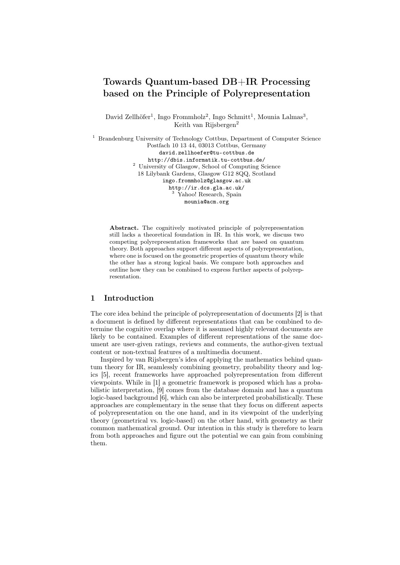# Towards Quantum-based DB+IR Processing based on the Principle of Polyrepresentation

David Zellhöfer<sup>1</sup>, Ingo Frommholz<sup>2</sup>, Ingo Schmitt<sup>1</sup>, Mounia Lalmas<sup>3</sup>, Keith van Rijsbergen<sup>2</sup>

<sup>1</sup> Brandenburg University of Technology Cottbus, Department of Computer Science Postfach 10 13 44, 03013 Cottbus, Germany david.zellhoefer@tu-cottbus.de http://dbis.informatik.tu-cottbus.de/ <sup>2</sup> University of Glasgow, School of Computing Science 18 Lilybank Gardens, Glasgow G12 8QQ, Scotland ingo.frommholz@glasgow.ac.uk http://ir.dcs.gla.ac.uk/ <sup>3</sup> Yahoo! Research, Spain mounia@acm.org

Abstract. The cognitively motivated principle of polyrepresentation still lacks a theoretical foundation in IR. In this work, we discuss two competing polyrepresentation frameworks that are based on quantum theory. Both approaches support different aspects of polyrepresentation, where one is focused on the geometric properties of quantum theory while the other has a strong logical basis. We compare both approaches and outline how they can be combined to express further aspects of polyrepresentation.

# 1 Introduction

The core idea behind the principle of polyrepresentation of documents [2] is that a document is defined by different representations that can be combined to determine the cognitive overlap where it is assumed highly relevant documents are likely to be contained. Examples of different representations of the same document are user-given ratings, reviews and comments, the author-given textual content or non-textual features of a multimedia document.

Inspired by van Rijsbergen's idea of applying the mathematics behind quantum theory for IR, seamlessly combining geometry, probability theory and logics [5], recent frameworks have approached polyrepresentation from different viewpoints. While in [1] a geometric framework is proposed which has a probabilistic interpretation, [9] comes from the database domain and has a quantum logic-based background [6], which can also be interpreted probabilistically. These approaches are complementary in the sense that they focus on different aspects of polyrepresentation on the one hand, and in its viewpoint of the underlying theory (geometrical vs. logic-based) on the other hand, with geometry as their common mathematical ground. Our intention in this study is therefore to learn from both approaches and figure out the potential we can gain from combining them.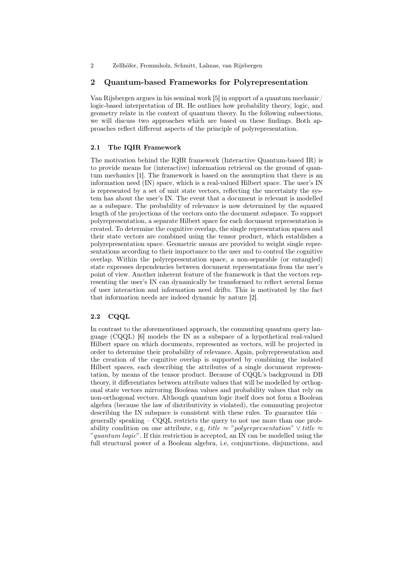2 Zellhöfer, Frommholz, Schmitt, Lalmas, van Rijsbergen

## 2 Quantum-based Frameworks for Polyrepresentation

Van Rijsbergen argues in his seminal work [5] in support of a quantum mechanic logic-based interpretation of IR. He outlines how probability theory, logic, and geometry relate in the context of quantum theory. In the following subsections, we will discuss two approaches which are based on these findings. Both approaches reflect different aspects of the principle of polyrepresentation.

#### 2.1 The IQIR Framework

The motivation behind the IQIR framework (Interactive Quantum-based IR) is to provide means for (interactive) information retrieval on the ground of quantum mechanics [1]. The framework is based on the assumption that there is an information need (IN) space, which is a real-valued Hilbert space. The user's IN is represented by a set of unit state vectors, reflecting the uncertainty the system has about the user's IN. The event that a document is relevant is modelled as a subspace. The probability of relevance is now determined by the squared length of the projections of the vectors onto the document subspace. To support polyrepresentation, a separate Hilbert space for each document representation is created. To determine the cognitive overlap, the single representation spaces and their state vectors are combined using the tensor product, which establishes a polyrepresentation space. Geometric means are provided to weight single representations according to their importance to the user and to control the cognitive overlap. Within the polyrepresentation space, a non-separable (or entangled) state expresses dependencies between document representations from the user's point of view. Another inherent feature of the framework is that the vectors representing the user's IN can dynamically be transformed to reflect several forms of user interaction and information need drifts. This is motivated by the fact that information needs are indeed dynamic by nature [2].

### 2.2 CQQL

In contrast to the aforementioned approach, the commuting quantum query language (CQQL) [6] models the IN as a subspace of a hypothetical real-valued Hilbert space on which documents, represented as vectors, will be projected in order to determine their probability of relevance. Again, polyrepresentation and the creation of the cognitive overlap is supported by combining the isolated Hilbert spaces, each describing the attributes of a single document representation, by means of the tensor product. Because of CQQL's background in DB theory, it differentiates between attribute values that will be modelled by orthogonal state vectors mirroring Boolean values and probability values that rely on non-orthogonal vectors. Although quantum logic itself does not form a Boolean algebra (because the law of distributivity is violated), the commuting projector describing the IN subspace is consistent with these rules. To guarantee this – generally speaking – CQQL restricts the query to not use more than one probability condition on one attribute, e.g, *title*  $\approx$  "*polyrepresentation*"  $\vee$  *title*  $\approx$ "*quantum logic*". If this restriction is accepted, an IN can be modelled using the full structural power of a Boolean algebra, i.e, conjunctions, disjunctions, and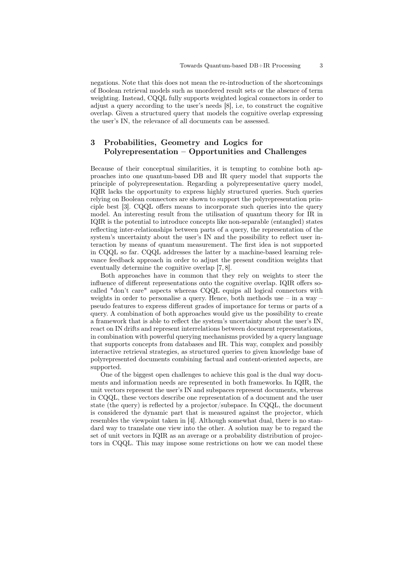negations. Note that this does not mean the re-introduction of the shortcomings of Boolean retrieval models such as unordered result sets or the absence of term weighting. Instead, CQQL fully supports weighted logical connectors in order to adjust a query according to the user's needs [8], i.e, to construct the cognitive overlap. Given a structured query that models the cognitive overlap expressing the user's IN, the relevance of all documents can be assessed.

# 3 Probabilities, Geometry and Logics for Polyrepresentation – Opportunities and Challenges

Because of their conceptual similarities, it is tempting to combine both approaches into one quantum-based DB and IR query model that supports the principle of polyrepresentation. Regarding a polyrepresentative query model, IQIR lacks the opportunity to express highly structured queries. Such queries relying on Boolean connectors are shown to support the polyrepresentation principle best [3]. CQQL offers means to incorporate such queries into the query model. An interesting result from the utilisation of quantum theory for IR in IQIR is the potential to introduce concepts like non-separable (entangled) states reflecting inter-relationships between parts of a query, the representation of the system's uncertainty about the user's IN and the possibility to reflect user interaction by means of quantum measurement. The first idea is not supported in CQQL so far. CQQL addresses the latter by a machine-based learning relevance feedback approach in order to adjust the present condition weights that eventually determine the cognitive overlap [7, 8].

Both approaches have in common that they rely on weights to steer the influence of different representations onto the cognitive overlap. IQIR offers socalled "don't care" aspects whereas CQQL equips all logical connectors with weights in order to personalise a query. Hence, both methods use – in a way – pseudo features to express different grades of importance for terms or parts of a query. A combination of both approaches would give us the possibility to create a framework that is able to reflect the system's uncertainty about the user's IN, react on IN drifts and represent interrelations between document representations, in combination with powerful querying mechanisms provided by a query language that supports concepts from databases and IR. This way, complex and possibly interactive retrieval strategies, as structured queries to given knowledge base of polyrepresented documents combining factual and content-oriented aspects, are supported.

One of the biggest open challenges to achieve this goal is the dual way documents and information needs are represented in both frameworks. In IQIR, the unit vectors represent the user's IN and subspaces represent documents, whereas in CQQL, these vectors describe one representation of a document and the user state (the query) is reflected by a projector/subspace. In CQQL, the document is considered the dynamic part that is measured against the projector, which resembles the viewpoint taken in [4]. Although somewhat dual, there is no standard way to translate one view into the other. A solution may be to regard the set of unit vectors in IQIR as an average or a probability distribution of projectors in CQQL. This may impose some restrictions on how we can model these